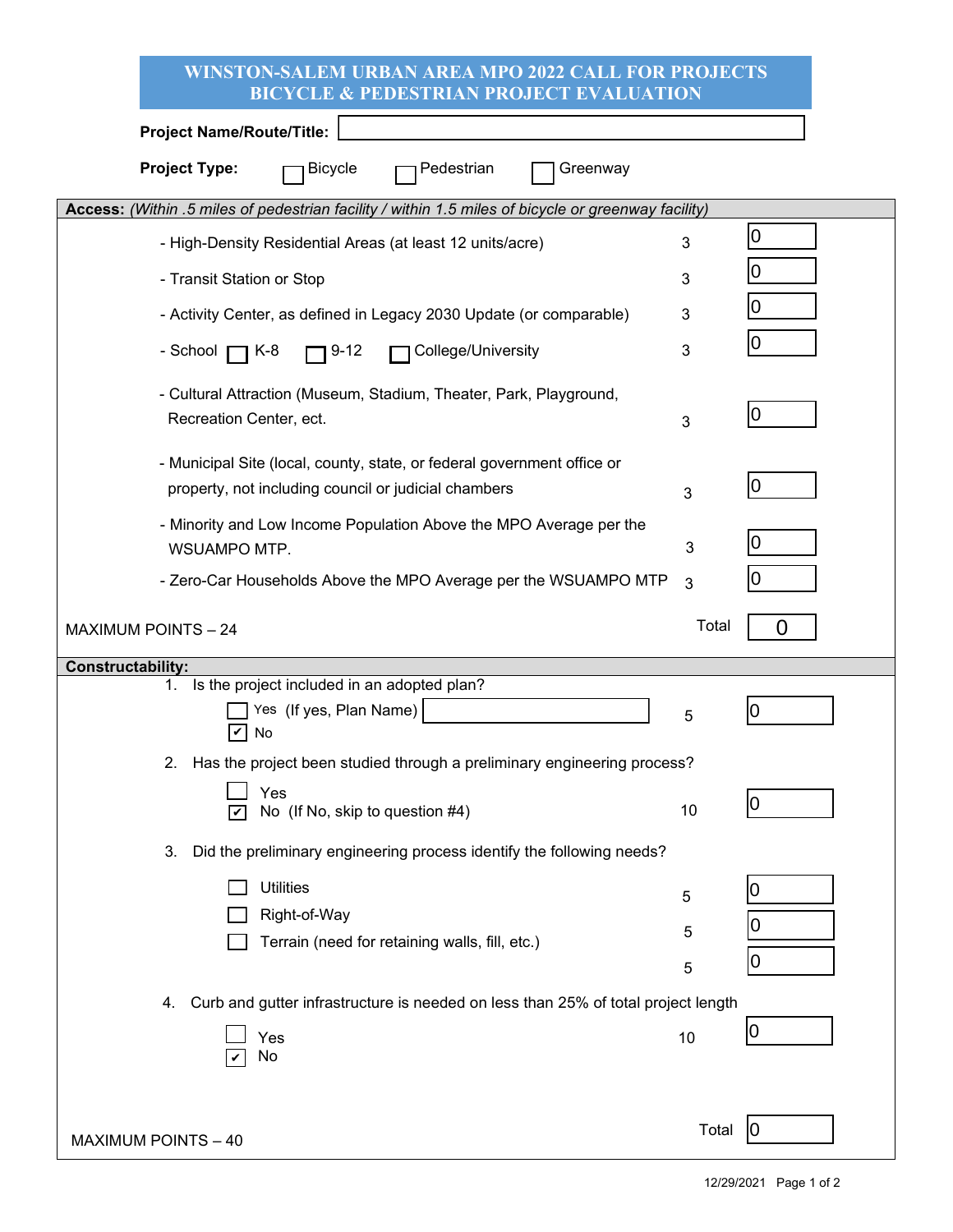| <b>WINSTON-SALEM URBAN AREA MPO 2022 CALL FOR PROJECTS</b><br><b>BICYCLE &amp; PEDESTRIAN PROJECT EVALUATION</b>                |        |        |  |  |  |
|---------------------------------------------------------------------------------------------------------------------------------|--------|--------|--|--|--|
| <b>Project Name/Route/Title:</b>                                                                                                |        |        |  |  |  |
| <b>Project Type:</b><br><b>Bicycle</b><br>Pedestrian<br>Greenway                                                                |        |        |  |  |  |
| Access: (Within .5 miles of pedestrian facility / within 1.5 miles of bicycle or greenway facility)                             |        |        |  |  |  |
| - High-Density Residential Areas (at least 12 units/acre)                                                                       | 3      | 0      |  |  |  |
| - Transit Station or Stop                                                                                                       | 3      | 10     |  |  |  |
| - Activity Center, as defined in Legacy 2030 Update (or comparable)                                                             | 3      | IО     |  |  |  |
| College/University<br>- School <b>[</b><br>$\neg$ K-8<br>$9 - 12$                                                               | 3      | IО     |  |  |  |
| - Cultural Attraction (Museum, Stadium, Theater, Park, Playground,<br>Recreation Center, ect.                                   | 3      | 10     |  |  |  |
| - Municipal Site (local, county, state, or federal government office or<br>property, not including council or judicial chambers | 3      | IО     |  |  |  |
| - Minority and Low Income Population Above the MPO Average per the<br>WSUAMPO MTP.                                              | 3      | 0      |  |  |  |
| - Zero-Car Households Above the MPO Average per the WSUAMPO MTP                                                                 | 3      | IО     |  |  |  |
| <b>MAXIMUM POINTS - 24</b>                                                                                                      | Total  | 0      |  |  |  |
|                                                                                                                                 |        |        |  |  |  |
| <b>Constructability:</b>                                                                                                        |        |        |  |  |  |
| 1. Is the project included in an adopted plan?<br>Yes (If yes, Plan Name)<br>No                                                 | 5      | 0      |  |  |  |
| Has the project been studied through a preliminary engineering process?<br>2.                                                   |        |        |  |  |  |
| Yes<br>No (If No, skip to question #4)                                                                                          | 10     | 0      |  |  |  |
| Did the preliminary engineering process identify the following needs?<br>3.                                                     |        |        |  |  |  |
| <b>Utilities</b>                                                                                                                |        | 0      |  |  |  |
| Right-of-Way                                                                                                                    | 5      |        |  |  |  |
| Terrain (need for retaining walls, fill, etc.)                                                                                  | 5<br>5 | 0<br>0 |  |  |  |
| Curb and gutter infrastructure is needed on less than 25% of total project length<br>4.                                         |        |        |  |  |  |
| Yes<br>No                                                                                                                       | 10     | 10     |  |  |  |